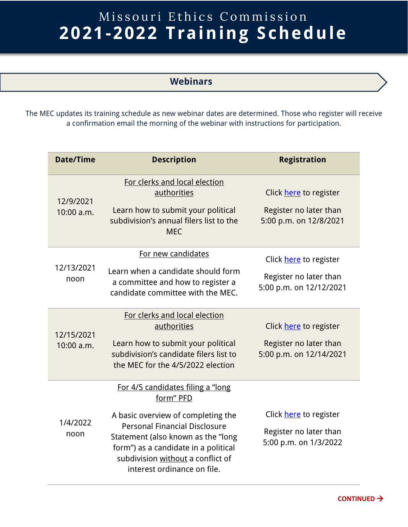## Missouri Ethics Commission **2021-2022 Training Schedule**

## **Webinars**

The MEC updates its training schedule as new webinar dates are determined. Those who register will receive a confirmation email the morning of the webinar with instructions for participation.

| <b>Date/Time</b>         | <b>Description</b>                                                                                                                                                                                                                                                       | <b>Registration</b>                                                         |
|--------------------------|--------------------------------------------------------------------------------------------------------------------------------------------------------------------------------------------------------------------------------------------------------------------------|-----------------------------------------------------------------------------|
| 12/9/2021<br>10:00 a.m.  | For clerks and local election<br>authorities<br>Learn how to submit your political<br>subdivision's annual filers list to the<br><b>MEC</b>                                                                                                                              | Click here to register<br>Register no later than<br>5:00 p.m. on 12/8/2021  |
| 12/13/2021<br>noon       | For new candidates<br>Learn when a candidate should form<br>a committee and how to register a<br>candidate committee with the MEC.                                                                                                                                       | Click here to register<br>Register no later than<br>5:00 p.m. on 12/12/2021 |
| 12/15/2021<br>10:00 a.m. | For clerks and local election<br>authorities<br>Learn how to submit your political<br>subdivision's candidate filers list to<br>the MEC for the 4/5/2022 election                                                                                                        | Click here to register<br>Register no later than<br>5:00 p.m. on 12/14/2021 |
| 1/4/2022<br>noon         | For 4/5 candidates filing a "long"<br>form" PFD<br>A basic overview of completing the<br>Personal Financial Disclosure<br>Statement (also known as the "long<br>form") as a candidate in a political<br>subdivision without a conflict of<br>interest ordinance on file. | Click here to register<br>Register no later than<br>5:00 p.m. on 1/3/2022   |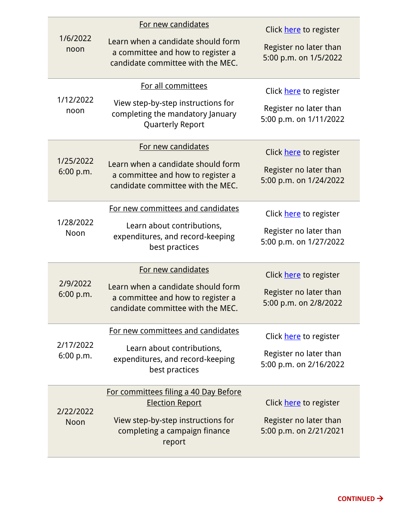| 1/6/2022<br>noon       | For new candidates<br>Learn when a candidate should form<br>a committee and how to register a<br>candidate committee with the MEC.               | Click here to register<br>Register no later than<br>5:00 p.m. on 1/5/2022  |
|------------------------|--------------------------------------------------------------------------------------------------------------------------------------------------|----------------------------------------------------------------------------|
| 1/12/2022<br>noon      | For all committees<br>View step-by-step instructions for<br>completing the mandatory January<br>Quarterly Report                                 | Click here to register<br>Register no later than<br>5:00 p.m. on 1/11/2022 |
| 1/25/2022<br>6:00 p.m. | For new candidates<br>Learn when a candidate should form<br>a committee and how to register a<br>candidate committee with the MEC.               | Click here to register<br>Register no later than<br>5:00 p.m. on 1/24/2022 |
| 1/28/2022<br>Noon      | For new committees and candidates<br>Learn about contributions,<br>expenditures, and record-keeping<br>best practices                            | Click here to register<br>Register no later than<br>5:00 p.m. on 1/27/2022 |
| 2/9/2022<br>6:00 p.m.  | For new candidates<br>Learn when a candidate should form<br>a committee and how to register a<br>candidate committee with the MEC.               | Click here to register<br>Register no later than<br>5:00 p.m. on 2/8/2022  |
| 2/17/2022<br>6:00 p.m. | For new committees and candidates<br>Learn about contributions,<br>expenditures, and record-keeping<br>best practices                            | Click here to register<br>Register no later than<br>5:00 p.m. on 2/16/2022 |
| 2/22/2022<br>Noon      | For committees filing a 40 Day Before<br><b>Election Report</b><br>View step-by-step instructions for<br>completing a campaign finance<br>report | Click here to register<br>Register no later than<br>5:00 p.m. on 2/21/2021 |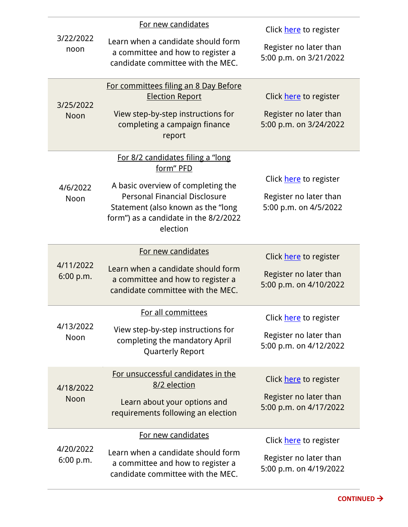## For new candidates

÷

| 3/22/2022<br>noon<br>3/25/2022<br>Noon | For new candidates<br>Learn when a candidate should form<br>a committee and how to register a<br>candidate committee with the MEC.<br>For committees filing an 8 Day Before<br><b>Election Report</b><br>View step-by-step instructions for<br>completing a campaign finance<br>report | Click here to register<br>Register no later than<br>5:00 p.m. on 3/21/2022<br>Click here to register<br>Register no later than<br>5:00 p.m. on 3/24/2022 |
|----------------------------------------|----------------------------------------------------------------------------------------------------------------------------------------------------------------------------------------------------------------------------------------------------------------------------------------|----------------------------------------------------------------------------------------------------------------------------------------------------------|
| 4/6/2022<br>Noon                       | For 8/2 candidates filing a "long<br>form" PFD<br>A basic overview of completing the<br><b>Personal Financial Disclosure</b><br>Statement (also known as the "long<br>form") as a candidate in the 8/2/2022<br>election                                                                | Click here to register<br>Register no later than<br>5:00 p.m. on 4/5/2022                                                                                |
| 4/11/2022<br>6:00 p.m.                 | For new candidates<br>Learn when a candidate should form<br>a committee and how to register a<br>candidate committee with the MEC.                                                                                                                                                     | Click here to register<br>Register no later than<br>5:00 p.m. on 4/10/2022                                                                               |
| 4/13/2022<br>Noon                      | For all committees<br>View step-by-step instructions for<br>completing the mandatory April<br>Quarterly Report                                                                                                                                                                         | Click here to register<br>Register no later than<br>5:00 p.m. on 4/12/2022                                                                               |
| 4/18/2022<br>Noon                      | For unsuccessful candidates in the<br>8/2 election<br>Learn about your options and<br>requirements following an election                                                                                                                                                               | Click here to register<br>Register no later than<br>5:00 p.m. on 4/17/2022                                                                               |
| 4/20/2022<br>6:00 p.m.                 | For new candidates<br>Learn when a candidate should form<br>a committee and how to register a<br>candidate committee with the MEC.                                                                                                                                                     | Click here to register<br>Register no later than<br>5:00 p.m. on 4/19/2022                                                                               |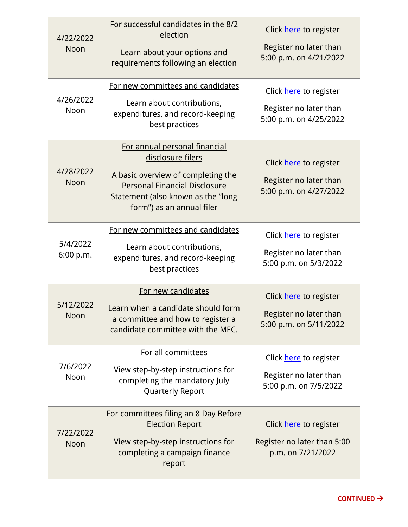| 4/22/2022<br>Noon     | For successful candidates in the 8/2<br>election<br>Learn about your options and<br>requirements following an election<br>For new committees and candidates                                         | Click here to register<br>Register no later than<br>5:00 p.m. on 4/21/2022<br>Click here to register |
|-----------------------|-----------------------------------------------------------------------------------------------------------------------------------------------------------------------------------------------------|------------------------------------------------------------------------------------------------------|
| 4/26/2022<br>Noon     | Learn about contributions,<br>expenditures, and record-keeping<br>best practices                                                                                                                    | Register no later than<br>5:00 p.m. on 4/25/2022                                                     |
| 4/28/2022<br>Noon     | For annual personal financial<br>disclosure filers<br>A basic overview of completing the<br><b>Personal Financial Disclosure</b><br>Statement (also known as the "long<br>form") as an annual filer | Click here to register<br>Register no later than<br>5:00 p.m. on 4/27/2022                           |
| 5/4/2022<br>6:00 p.m. | For new committees and candidates<br>Learn about contributions,<br>expenditures, and record-keeping<br>best practices                                                                               | Click here to register<br>Register no later than<br>5:00 p.m. on 5/3/2022                            |
| 5/12/2022<br>Noon     | For new candidates<br>Learn when a candidate should form<br>a committee and how to register a<br>candidate committee with the MEC.                                                                  | Click here to register<br>Register no later than<br>5:00 p.m. on 5/11/2022                           |
| 7/6/2022<br>Noon      | For all committees<br>View step-by-step instructions for<br>completing the mandatory July<br>Quarterly Report                                                                                       | Click here to register<br>Register no later than<br>5:00 p.m. on 7/5/2022                            |
| 7/22/2022<br>Noon     | For committees filing an 8 Day Before<br><b>Election Report</b><br>View step-by-step instructions for<br>completing a campaign finance<br>report                                                    | Click here to register<br>Register no later than 5:00<br>p.m. on 7/21/2022                           |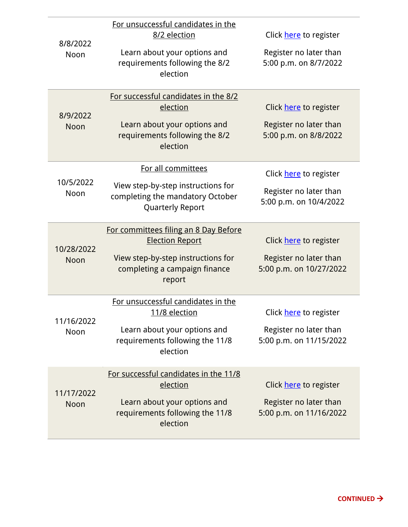| 8/8/2022<br>Noon   | For unsuccessful candidates in the<br>8/2 election<br>Learn about your options and<br>requirements following the 8/2<br>election                 | Click here to register<br>Register no later than<br>5:00 p.m. on 8/7/2022   |
|--------------------|--------------------------------------------------------------------------------------------------------------------------------------------------|-----------------------------------------------------------------------------|
| 8/9/2022<br>Noon   | For successful candidates in the 8/2<br>election<br>Learn about your options and<br>requirements following the 8/2<br>election                   | Click here to register<br>Register no later than<br>5:00 p.m. on 8/8/2022   |
| 10/5/2022<br>Noon  | For all committees<br>View step-by-step instructions for<br>completing the mandatory October<br><b>Quarterly Report</b>                          | Click here to register<br>Register no later than<br>5:00 p.m. on 10/4/2022  |
| 10/28/2022<br>Noon | For committees filing an 8 Day Before<br><b>Election Report</b><br>View step-by-step instructions for<br>completing a campaign finance<br>report | Click here to register<br>Register no later than<br>5:00 p.m. on 10/27/2022 |
| 11/16/2022<br>Noon | For unsuccessful candidates in the<br>11/8 election<br>Learn about your options and<br>requirements following the 11/8<br>election               | Click here to register<br>Register no later than<br>5:00 p.m. on 11/15/2022 |
| 11/17/2022<br>Noon | For successful candidates in the 11/8<br>election<br>Learn about your options and<br>requirements following the 11/8<br>election                 | Click here to register<br>Register no later than<br>5:00 p.m. on 11/16/2022 |